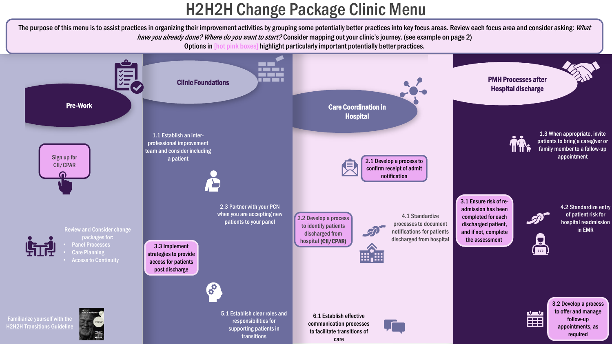# H2H2H Change Package Clinic Menu

The purpose of this menu is to assist practices in organizing their improvement activities by grouping some potentially better practices into key focus areas. Review each focus area and consider asking: What have you already done? Where do you want to start? Consider mapping out your clinic's journey. (see example on page 2) Options in [hot pink boxes] highlight particularly important potentially better practices.